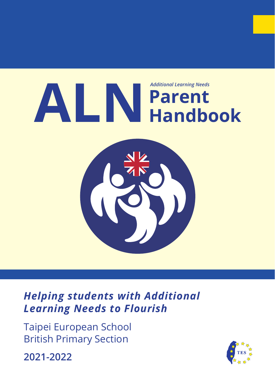

*Helping students with Additional Learning Needs to Flourish*

Taipei European School British Primary Section

**2021-2022**

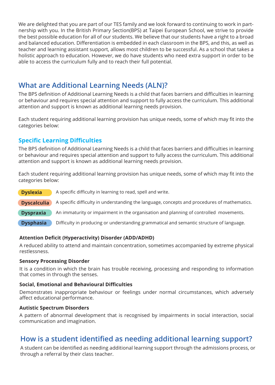We are delighted that you are part of our TES family and we look forward to continuing to work in partnership with you. In the British Primary Section(BPS) at Taipei European School, we strive to provide the best possible education for all of our students. We believe that our students have a right to a broad and balanced education. Differentiation is embedded in each classroom in the BPS, and this, as well as teacher and learning assistant support, allows most children to be successful. As a school that takes a holistic approach to education. However, we do have students who need extra support in order to be able to access the curriculum fully and to reach their full potential.

## **What are Additional Learning Needs (ALN)?**

The BPS definition of Additional Learning Needs is a child that faces barriers and difficulties in learning or behaviour and requires special attention and support to fully access the curriculum. This additional attention and support is known as additional learning needs provision.

Each student requiring additional learning provision has unique needs, some of which may fit into the categories below:

### **Specific Learning Difficulties**

The BPS definition of Additional Learning Needs is a child that faces barriers and difficulties in learning or behaviour and requires special attention and support to fully access the curriculum. This additional attention and support is known as additional learning needs provision.

Each student requiring additional learning provision has unique needs, some of which may fit into the categories below:

A specific difficulty in learning to read, spell and write. A specific difficulty in understanding the language, concepts and procedures of mathematics. An immaturity or impairment in the organisation and planning of controlled movements. Difficulty in producing or understanding grammatical and semantic structure of language. **Dyslexia Dyscalculia Dyspraxia Dysphasia**

### **Attention Deficit (Hyperactivity) Disorder (ADD/ADHD)**

A reduced ability to attend and maintain concentration, sometimes accompanied by extreme physical restlessness.

### **Sensory Processing Disorder**

It is a condition in which the brain has trouble receiving, processing and responding to information that comes in through the senses.

### **Social, Emotional and Behavioural Difficulties**

Demonstrates inappropriate behaviour or feelings under normal circumstances, which adversely affect educational performance.

### **Autistic Spectrum Disorders**

A pattern of abnormal development that is recognised by impairments in social interaction, social communication and imagination.

## **How is a student identified as needing additional learning support?**

A student can be identified as needing additional learning support through the admissions process, or through a referral by their class teacher.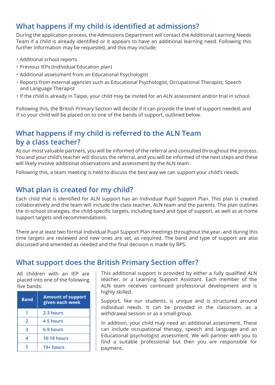# **What happens if my child is identified at admissions?**

During the application process, the Admissions Department will contact the Additional Learning Needs Team if a child is already identified or it appears to have an additional learning need. Following this further information may be requested, and this may include:

- ・ Additional school reports
- ・ Previous IEPs (Individual Education plan)
- ・ Additional assessment from an Educational Psychologist
- ・ Reports from external agencies such as Educational Psychologist, Occupational Therapist, Speech and Language Therapist
- ・ If the child is already in Taipei, your child may be invited for an ALN assessment and/or trial in school.

Following this, the British Primary Section will decide if it can provide the level of support needed, and if so your child will be placed on to one of the bands of support, outlined below.

## **What happens if my child is referred to the ALN Team by a class teacher?**

As our most valuable partners, you will be informed of the referral and consulted throughout the process. You and your child's teacher will discuss the referral, and you will be informed of the next steps and these will likely involve additional observations and assessment by the ALN team.

Following this, a team meeting is held to discuss the best way we can support your child's needs.

## **What plan is created for my child?**

Each child that is identified for ALN support has an Individual Pupil Support Plan. This plan is created collaboratively and the team will include the class teacher, ALN team and the parents. The plan outlines the in-school strategies, the child-specific targets, including band and type of support, as well as at-home support targets and recommendations.

There are at least two formal Individual Pupil Support Plan meetings throughout the year, and during this time targets are reviewed and new ones are set, as required. The band and type of support are also discussed and amended as needed and the final decision is made by BPS.

### **What support does the British Primary Section offer?**

All children with an IEP are placed into one of the following five bands:

| <b>Band</b> | <b>Amount of support</b><br>given each week |
|-------------|---------------------------------------------|
|             | 2-3 hours                                   |
| 2           | 4-5 hours                                   |
| З           | 6-9 hours                                   |
| 4           | <b>10-18 hours</b>                          |
| 5           | 19+ hours                                   |

This additional support is provided by either a fully qualified ALN teacher, or a Learning Support Assistant. Each member of the ALN team receives continued professional development and is highly skilled.

Support, like our students, is unique and is structured around individual needs. It can be provided in the classroom, as a withdrawal session or as a small group.

In addition, your child may need an additional assessment. These can include occupational therapy, speech and language and an Educational psychologist assessment. We will partner with you to find a suitable professional but then you are responsible for payment.